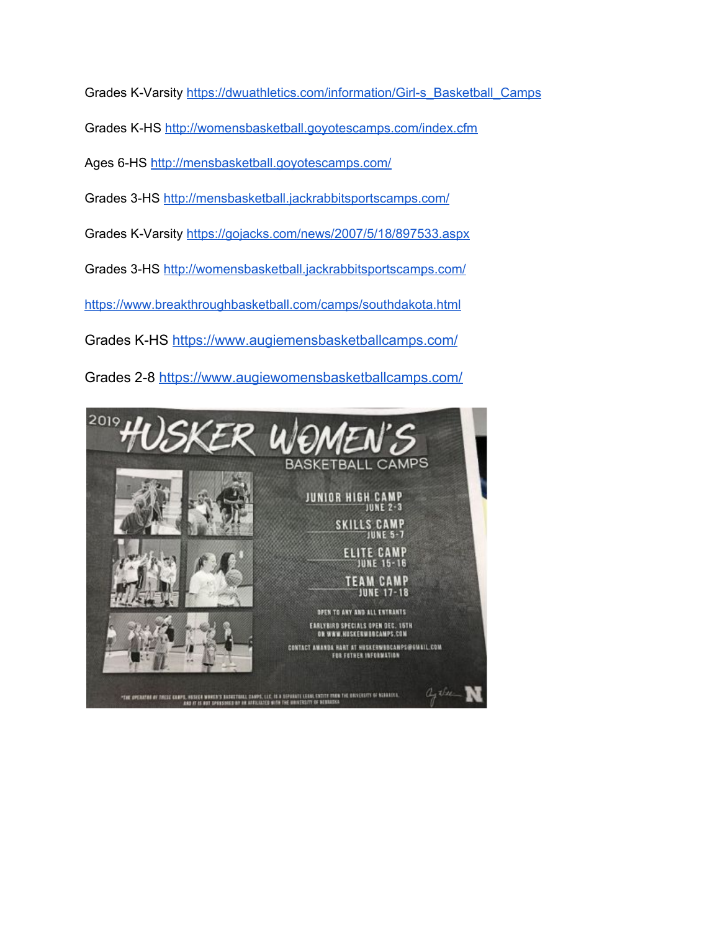Grades K-Varsity [https://dwuathletics.com/information/Girl-s\\_Basketball\\_Camps](https://dwuathletics.com/information/Girl-s_Basketball_Camps) Grades K-HS <http://womensbasketball.goyotescamps.com/index.cfm> Ages 6-HS <http://mensbasketball.goyotescamps.com/> Grades 3-HS <http://mensbasketball.jackrabbitsportscamps.com/> Grades K-Varsity <https://gojacks.com/news/2007/5/18/897533.aspx> Grades 3-HS <http://womensbasketball.jackrabbitsportscamps.com/> <https://www.breakthroughbasketball.com/camps/southdakota.html>

Grades K-HS <https://www.augiemensbasketballcamps.com/>

Grades 2-8<https://www.augiewomensbasketballcamps.com/>

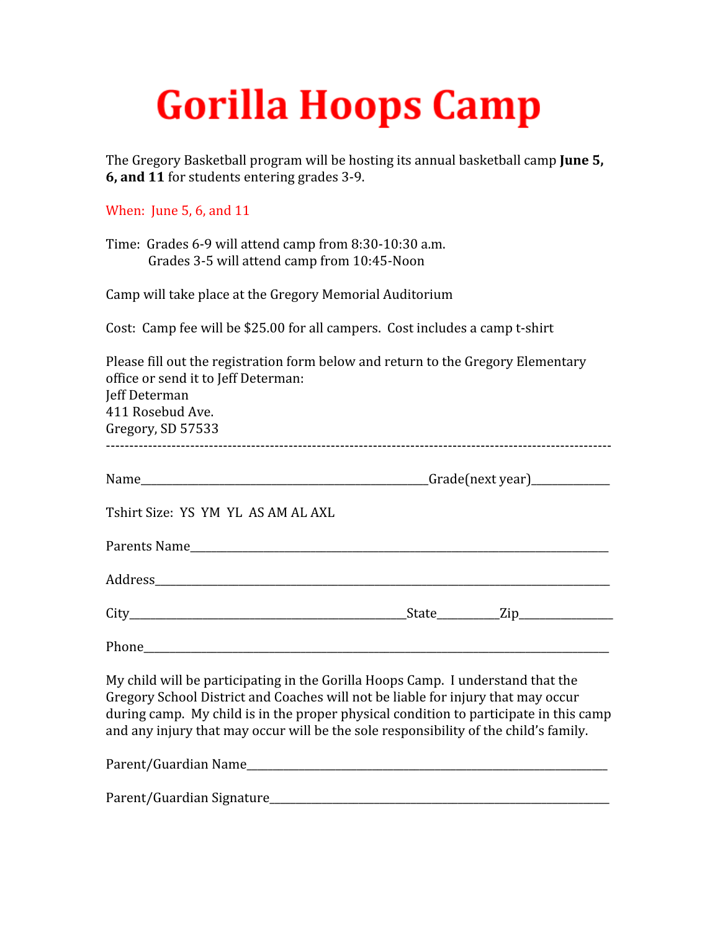## **Gorilla Hoops Camp**

The Gregory Basketball program will be hosting its annual basketball camp **June 5, 6, and 11** for students entering grades 3-9.

## When: June 5, 6, and 11

Time: Grades 6-9 will attend camp from 8:30-10:30 a.m. Grades 3-5 will attend camp from 10:45-Noon

Camp will take place at the Gregory Memorial Auditorium

Cost: Camp fee will be \$25.00 for all campers. Cost includes a camp t-shirt

| Please fill out the registration form below and return to the Gregory Elementary<br>office or send it to Jeff Determan:<br>Jeff Determan<br>411 Rosebud Ave.<br>Gregory, SD 57533                                                                                                                                                                    |  |  |
|------------------------------------------------------------------------------------------------------------------------------------------------------------------------------------------------------------------------------------------------------------------------------------------------------------------------------------------------------|--|--|
|                                                                                                                                                                                                                                                                                                                                                      |  |  |
| Tshirt Size: YS YM YL AS AM AL AXL                                                                                                                                                                                                                                                                                                                   |  |  |
|                                                                                                                                                                                                                                                                                                                                                      |  |  |
| Address and the contract of the contract of the contract of the contract of the contract of the contract of the contract of the contract of the contract of the contract of the contract of the contract of the contract of th                                                                                                                       |  |  |
|                                                                                                                                                                                                                                                                                                                                                      |  |  |
| Phone experience and the second contract of the second contract of the second contract of the second contract of the second contract of the second contract of the second contract of the second contract of the second contra                                                                                                                       |  |  |
| My child will be participating in the Gorilla Hoops Camp. I understand that the<br>Gregory School District and Coaches will not be liable for injury that may occur<br>during camp. My child is in the proper physical condition to participate in this camp<br>and any injury that may occur will be the sole responsibility of the child's family. |  |  |
| Parent/Guardian Name                                                                                                                                                                                                                                                                                                                                 |  |  |

Parent/Guardian Signature\_\_\_\_\_\_\_\_\_\_\_\_\_\_\_\_\_\_\_\_\_\_\_\_\_\_\_\_\_\_\_\_\_\_\_\_\_\_\_\_\_\_\_\_\_\_\_\_\_\_\_\_\_\_\_\_\_\_\_\_\_\_\_\_\_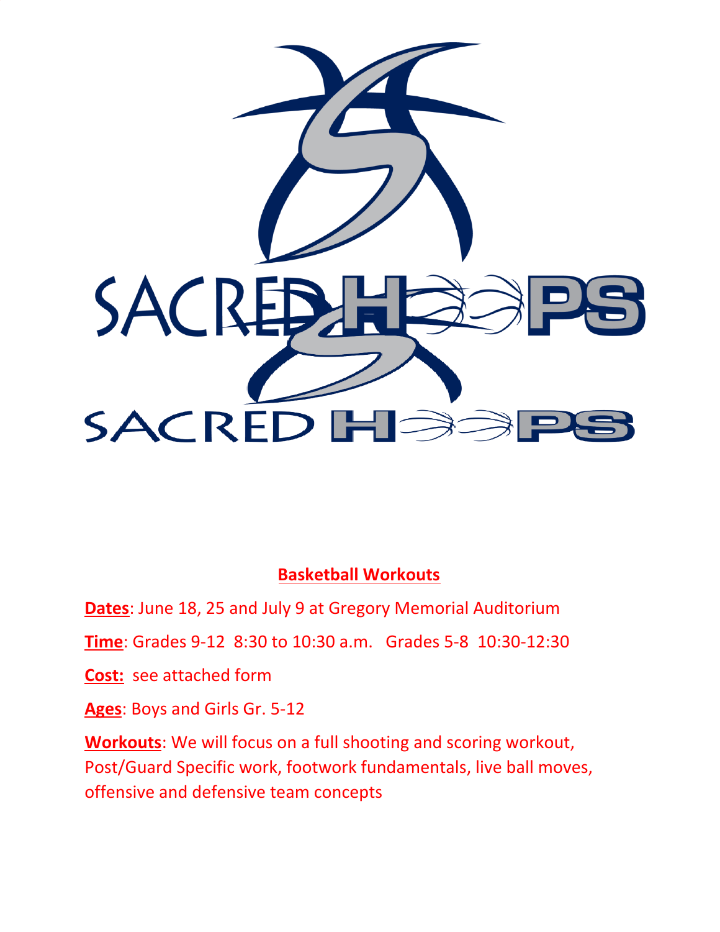

## **Basketball Workouts**

**Dates**: June 18, 25 and July 9 at Gregory Memorial Auditorium

**Time**: Grades 9-12 8:30 to 10:30 a.m. Grades 5-8 10:30-12:30

**Cost:** see attached form

**Ages**: Boys and Girls Gr. 5-12

**Workouts**: We will focus on a full shooting and scoring workout, Post/Guard Specific work, footwork fundamentals, live ball moves, offensive and defensive team concepts